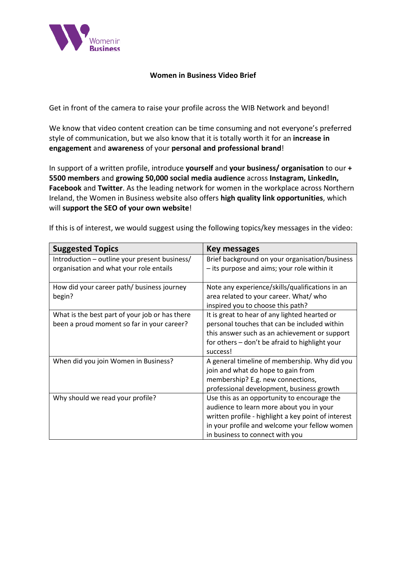

## **Women in Business Video Brief**

Get in front of the camera to raise your profile across the WIB Network and beyond!

We know that video content creation can be time consuming and not everyone's preferred style of communication, but we also know that it is totally worth it for an **increase in engagement** and **awareness** of your **personal and professional brand**!

In support of a written profile, introduce **yourself** and **your business/ organisation** to our **+ 5500 members** and **growing 50,000 social media audience** across **Instagram, LinkedIn, Facebook** and **Twitter**. As the leading network for women in the workplace across Northern Ireland, the Women in Business website also offers **high quality link opportunities**, which will **support the SEO of your own website**!

If this is of interest, we would suggest using the following topics/key messages in the video:

| <b>Suggested Topics</b>                                                                      | Key messages                                                                                                                                                                                                                       |
|----------------------------------------------------------------------------------------------|------------------------------------------------------------------------------------------------------------------------------------------------------------------------------------------------------------------------------------|
| Introduction - outline your present business/<br>organisation and what your role entails     | Brief background on your organisation/business<br>- its purpose and aims; your role within it                                                                                                                                      |
| How did your career path/ business journey<br>begin?                                         | Note any experience/skills/qualifications in an<br>area related to your career. What/ who<br>inspired you to choose this path?                                                                                                     |
| What is the best part of your job or has there<br>been a proud moment so far in your career? | It is great to hear of any lighted hearted or<br>personal touches that can be included within<br>this answer such as an achievement or support<br>for others - don't be afraid to highlight your<br>success!                       |
| When did you join Women in Business?                                                         | A general timeline of membership. Why did you<br>join and what do hope to gain from<br>membership? E.g. new connections,<br>professional development, business growth                                                              |
| Why should we read your profile?                                                             | Use this as an opportunity to encourage the<br>audience to learn more about you in your<br>written profile - highlight a key point of interest<br>in your profile and welcome your fellow women<br>in business to connect with you |